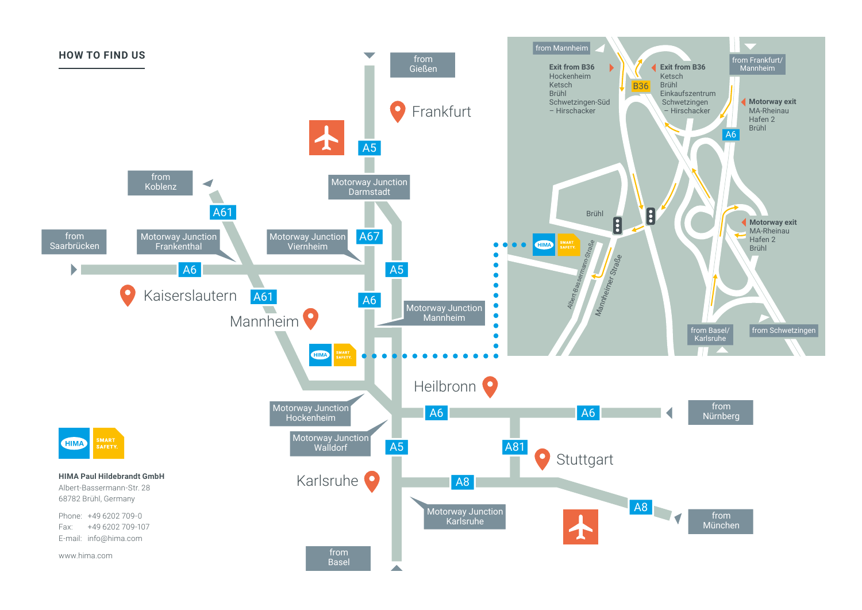